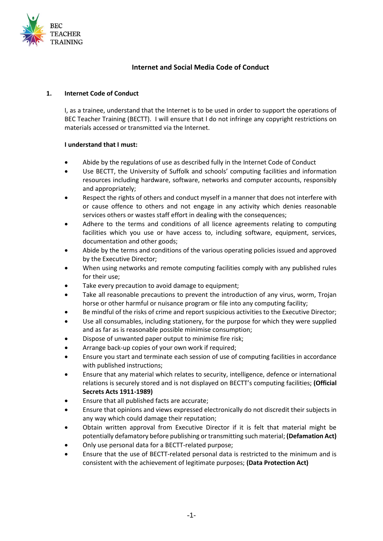

## **Internet and Social Media Code of Conduct**

#### **1. Internet Code of Conduct**

I, as a trainee, understand that the Internet is to be used in order to support the operations of BEC Teacher Training (BECTT). I will ensure that I do not infringe any copyright restrictions on materials accessed or transmitted via the Internet.

### **I understand that I must:**

- Abide by the regulations of use as described fully in the Internet Code of Conduct
- Use BECTT, the University of Suffolk and schools' computing facilities and information resources including hardware, software, networks and computer accounts, responsibly and appropriately;
- Respect the rights of others and conduct myself in a manner that does not interfere with or cause offence to others and not engage in any activity which denies reasonable services others or wastes staff effort in dealing with the consequences;
- Adhere to the terms and conditions of all licence agreements relating to computing facilities which you use or have access to, including software, equipment, services, documentation and other goods;
- Abide by the terms and conditions of the various operating policies issued and approved by the Executive Director;
- When using networks and remote computing facilities comply with any published rules for their use;
- Take every precaution to avoid damage to equipment;
- Take all reasonable precautions to prevent the introduction of any virus, worm, Trojan horse or other harmful or nuisance program or file into any computing facility;
- Be mindful of the risks of crime and report suspicious activities to the Executive Director;
- Use all consumables, including stationery, for the purpose for which they were supplied and as far as is reasonable possible minimise consumption;
- Dispose of unwanted paper output to minimise fire risk;
- Arrange back-up copies of your own work if required;
- Ensure you start and terminate each session of use of computing facilities in accordance with published instructions;
- Ensure that any material which relates to security, intelligence, defence or international relations is securely stored and is not displayed on BECTT's computing facilities; **(Official Secrets Acts 1911-1989)**
- Ensure that all published facts are accurate;
- Ensure that opinions and views expressed electronically do not discredit their subjects in any way which could damage their reputation;
- Obtain written approval from Executive Director if it is felt that material might be potentially defamatory before publishing or transmitting such material; **(Defamation Act)**
- Only use personal data for a BECTT-related purpose;
- Ensure that the use of BECTT-related personal data is restricted to the minimum and is consistent with the achievement of legitimate purposes; **(Data Protection Act)**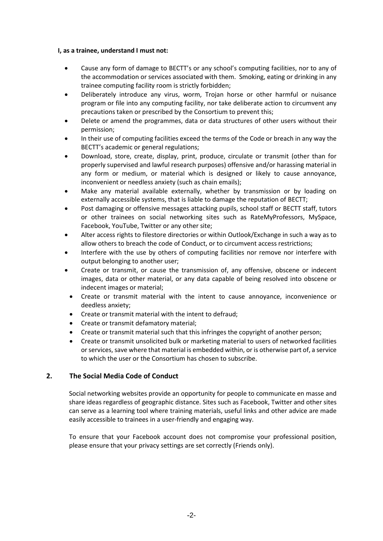#### **I, as a trainee, understand I must not:**

- Cause any form of damage to BECTT's or any school's computing facilities, nor to any of the accommodation or services associated with them. Smoking, eating or drinking in any trainee computing facility room is strictly forbidden;
- Deliberately introduce any virus, worm, Trojan horse or other harmful or nuisance program or file into any computing facility, nor take deliberate action to circumvent any precautions taken or prescribed by the Consortium to prevent this;
- Delete or amend the programmes, data or data structures of other users without their permission;
- In their use of computing facilities exceed the terms of the Code or breach in any way the BECTT's academic or general regulations;
- Download, store, create, display, print, produce, circulate or transmit (other than for properly supervised and lawful research purposes) offensive and/or harassing material in any form or medium, or material which is designed or likely to cause annoyance, inconvenient or needless anxiety (such as chain emails);
- Make any material available externally, whether by transmission or by loading on externally accessible systems, that is liable to damage the reputation of BECTT;
- Post damaging or offensive messages attacking pupils, school staff or BECTT staff, tutors or other trainees on social networking sites such as RateMyProfessors, MySpace, Facebook, YouTube, Twitter or any other site;
- Alter access rights to filestore directories or within Outlook/Exchange in such a way as to allow others to breach the code of Conduct, or to circumvent access restrictions;
- Interfere with the use by others of computing facilities nor remove nor interfere with output belonging to another user;
- Create or transmit, or cause the transmission of, any offensive, obscene or indecent images, data or other material, or any data capable of being resolved into obscene or indecent images or material;
- Create or transmit material with the intent to cause annoyance, inconvenience or deedless anxiety;
- Create or transmit material with the intent to defraud;
- Create or transmit defamatory material;
- Create or transmit material such that this infringes the copyright of another person;
- Create or transmit unsolicited bulk or marketing material to users of networked facilities or services, save where that material is embedded within, or is otherwise part of, a service to which the user or the Consortium has chosen to subscribe.

# **2. The Social Media Code of Conduct**

Social networking websites provide an opportunity for people to communicate en masse and share ideas regardless of geographic distance. Sites such as Facebook, Twitter and other sites can serve as a learning tool where training materials, useful links and other advice are made easily accessible to trainees in a user-friendly and engaging way.

To ensure that your Facebook account does not compromise your professional position, please ensure that your privacy settings are set correctly (Friends only).